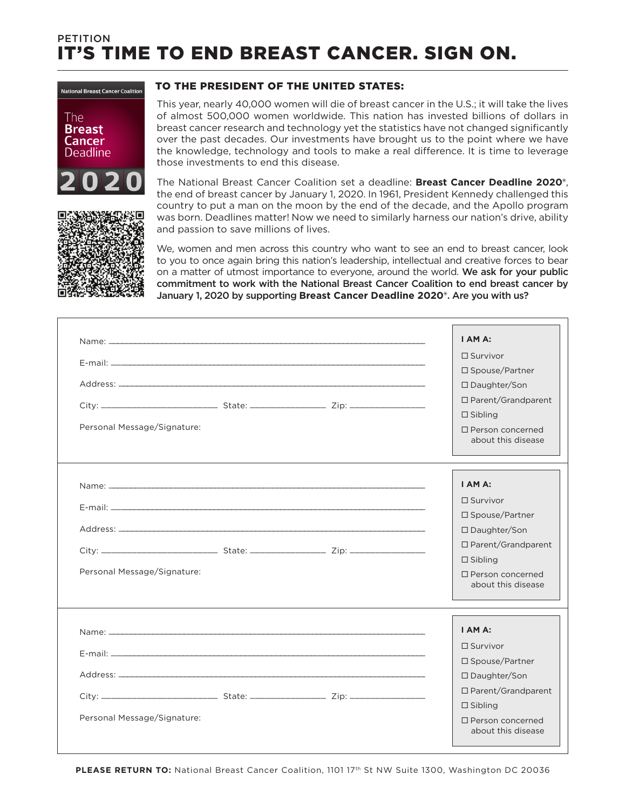## It's time to end breast cancer. Sign on. **PETITION**

to the President of the United States:

## **National Breast Cancer Coalition**



The National Breast Cancer Coalition set a deadline: **Breast Cancer Deadline 2020®**, the end of breast cancer by January 1, 2020. In 1961, President Kennedy challenged this country to put a man on the moon by the end of the decade, and the Apollo program was born. Deadlines matter! Now we need to similarly harness our nation's drive, ability and passion to save millions of lives.

those investments to end this disease.

We, women and men across this country who want to see an end to breast cancer, look to you to once again bring this nation's leadership, intellectual and creative forces to bear on a matter of utmost importance to everyone, around the world. We ask for your public commitment to work with the National Breast Cancer Coalition to end breast cancer by January 1, 2020 by supporting **Breast Cancer Deadline 2020®**. Are you with us?

This year, nearly 40,000 women will die of breast cancer in the U.S.; it will take the lives of almost 500,000 women worldwide. This nation has invested billions of dollars in breast cancer research and technology yet the statistics have not changed significantly over the past decades. Our investments have brought us to the point where we have the knowledge, technology and tools to make a real difference. It is time to leverage

| Personal Message/Signature: |  | $\Box$ Survivor<br>$\square$ Spouse/Partner<br>□ Daughter/Son<br>□ Parent/Grandparent<br>$\Box$ Sibling<br>$\Box$ Person concerned<br>about this disease         |
|-----------------------------|--|------------------------------------------------------------------------------------------------------------------------------------------------------------------|
| Personal Message/Signature: |  | I AM A:<br>$\Box$ Survivor<br>□ Spouse/Partner<br>$\Box$ Daughter/Son<br>□ Parent/Grandparent<br>$\Box$ Sibling<br>$\Box$ Person concerned<br>about this disease |
| Personal Message/Signature: |  | I AM A:<br>$\Box$ Survivor<br>□ Spouse/Partner<br>□ Daughter/Son<br>□ Parent/Grandparent<br>$\Box$ Sibling<br>$\Box$ Person concerned<br>about this disease      |